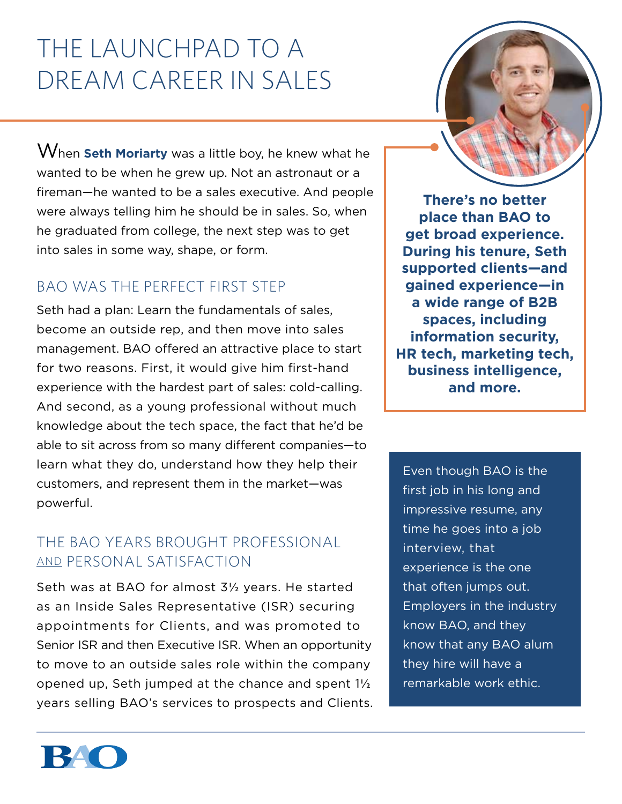# The Launchpad to a Dream Career in Sales

When **Seth Moriarty** was a little boy, he knew what he wanted to be when he grew up. Not an astronaut or a fireman—he wanted to be a sales executive. And people were always telling him he should be in sales. So, when he graduated from college, the next step was to get into sales in some way, shape, or form.

## BAO Was the Perfect First Step

Seth had a plan: Learn the fundamentals of sales, become an outside rep, and then move into sales management. BAO offered an attractive place to start for two reasons. First, it would give him first-hand experience with the hardest part of sales: cold-calling. And second, as a young professional without much knowledge about the tech space, the fact that he'd be able to sit across from so many different companies—to learn what they do, understand how they help their customers, and represent them in the market—was powerful.

## The BAO Years Brought Professional and Personal Satisfaction

Seth was at BAO for almost 3½ years. He started as an Inside Sales Representative (ISR) securing appointments for Clients, and was promoted to Senior ISR and then Executive ISR. When an opportunity to move to an outside sales role within the company opened up, Seth jumped at the chance and spent 1½ years selling BAO's services to prospects and Clients.



Even though BAO is the first job in his long and impressive resume, any time he goes into a job interview, that experience is the one that often jumps out. Employers in the industry know BAO, and they know that any BAO alum they hire will have a remarkable work ethic.